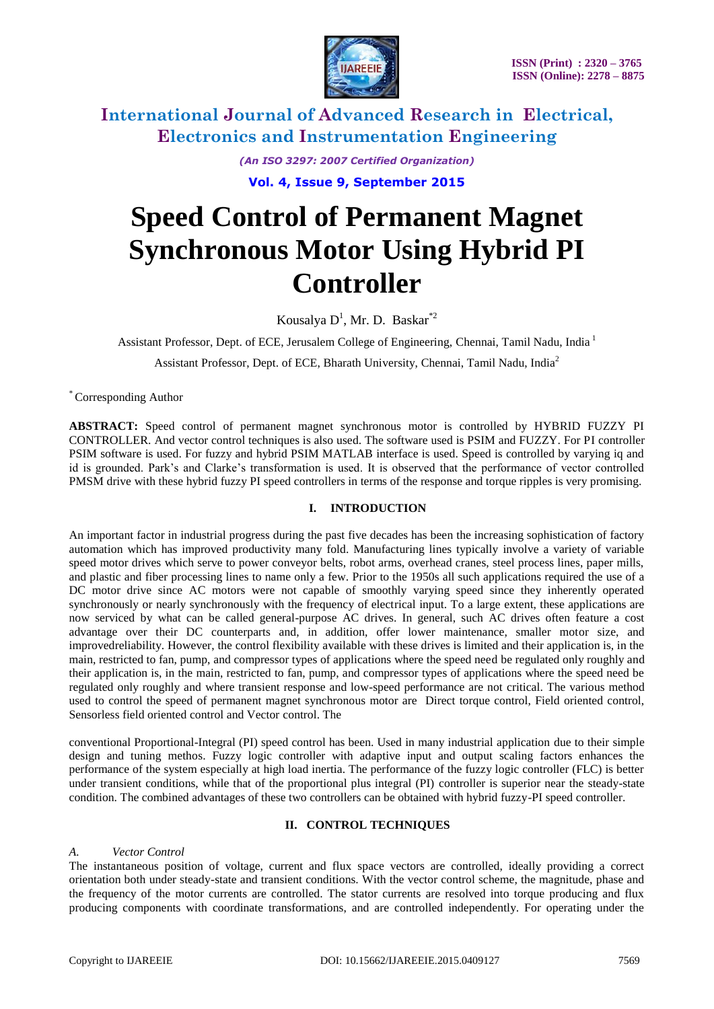

*(An ISO 3297: 2007 Certified Organization)*

**Vol. 4, Issue 9, September 2015**

# **Speed Control of Permanent Magnet Synchronous Motor Using Hybrid PI Controller**

Kousalya  $D^1$ , Mr. D. Baskar<sup>\*2</sup>

Assistant Professor, Dept. of ECE, Jerusalem College of Engineering, Chennai, Tamil Nadu, India<sup>1</sup>

Assistant Professor, Dept. of ECE, Bharath University, Chennai, Tamil Nadu, India<sup>2</sup>

\* Corresponding Author

**ABSTRACT:** Speed control of permanent magnet synchronous motor is controlled by HYBRID FUZZY PI CONTROLLER. And vector control techniques is also used. The software used is PSIM and FUZZY. For PI controller PSIM software is used. For fuzzy and hybrid PSIM MATLAB interface is used. Speed is controlled by varying iq and id is grounded. Park's and Clarke's transformation is used. It is observed that the performance of vector controlled PMSM drive with these hybrid fuzzy PI speed controllers in terms of the response and torque ripples is very promising.

### **I. INTRODUCTION**

An important factor in industrial progress during the past five decades has been the increasing sophistication of factory automation which has improved productivity many fold. Manufacturing lines typically involve a variety of variable speed motor drives which serve to power conveyor belts, robot arms, overhead cranes, steel process lines, paper mills, and plastic and fiber processing lines to name only a few. Prior to the 1950s all such applications required the use of a DC motor drive since AC motors were not capable of smoothly varying speed since they inherently operated synchronously or nearly synchronously with the frequency of electrical input. To a large extent, these applications are now serviced by what can be called general-purpose AC drives. In general, such AC drives often feature a cost advantage over their DC counterparts and, in addition, offer lower maintenance, smaller motor size, and improvedreliability. However, the control flexibility available with these drives is limited and their application is, in the main, restricted to fan, pump, and compressor types of applications where the speed need be regulated only roughly and their application is, in the main, restricted to fan, pump, and compressor types of applications where the speed need be regulated only roughly and where transient response and low-speed performance are not critical. The various method used to control the speed of permanent magnet synchronous motor are Direct torque control, Field oriented control, Sensorless field oriented control and Vector control. The

conventional Proportional-Integral (PI) speed control has been. Used in many industrial application due to their simple design and tuning methos. Fuzzy logic controller with adaptive input and output scaling factors enhances the performance of the system especially at high load inertia. The performance of the fuzzy logic controller (FLC) is better under transient conditions, while that of the proportional plus integral (PI) controller is superior near the steady-state condition. The combined advantages of these two controllers can be obtained with hybrid fuzzy-PI speed controller.

### **II. CONTROL TECHNIQUES**

#### *A. Vector Control*

The instantaneous position of voltage, current and flux space vectors are controlled, ideally providing a correct orientation both under steady-state and transient conditions. With the vector control scheme, the magnitude, phase and the frequency of the motor currents are controlled. The stator currents are resolved into torque producing and flux producing components with coordinate transformations, and are controlled independently. For operating under the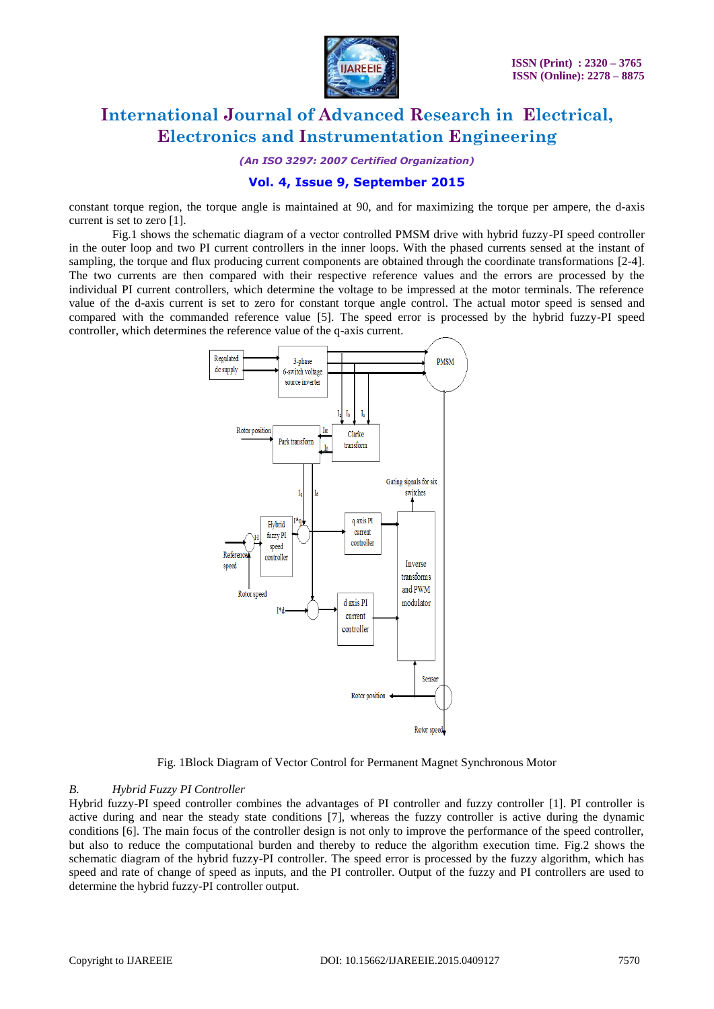

*(An ISO 3297: 2007 Certified Organization)*

### **Vol. 4, Issue 9, September 2015**

constant torque region, the torque angle is maintained at 90, and for maximizing the torque per ampere, the d-axis current is set to zero [1].

Fig.1 shows the schematic diagram of a vector controlled PMSM drive with hybrid fuzzy-PI speed controller in the outer loop and two PI current controllers in the inner loops. With the phased currents sensed at the instant of sampling, the torque and flux producing current components are obtained through the coordinate transformations [2-4]. The two currents are then compared with their respective reference values and the errors are processed by the individual PI current controllers, which determine the voltage to be impressed at the motor terminals. The reference value of the d-axis current is set to zero for constant torque angle control. The actual motor speed is sensed and compared with the commanded reference value [5]. The speed error is processed by the hybrid fuzzy-PI speed controller, which determines the reference value of the q-axis current.



Fig. 1Block Diagram of Vector Control for Permanent Magnet Synchronous Motor

#### *B. Hybrid Fuzzy PI Controller*

Hybrid fuzzy-PI speed controller combines the advantages of PI controller and fuzzy controller [1]. PI controller is active during and near the steady state conditions [7], whereas the fuzzy controller is active during the dynamic conditions [6]. The main focus of the controller design is not only to improve the performance of the speed controller, but also to reduce the computational burden and thereby to reduce the algorithm execution time. Fig.2 shows the schematic diagram of the hybrid fuzzy-PI controller. The speed error is processed by the fuzzy algorithm, which has speed and rate of change of speed as inputs, and the PI controller. Output of the fuzzy and PI controllers are used to determine the hybrid fuzzy-PI controller output.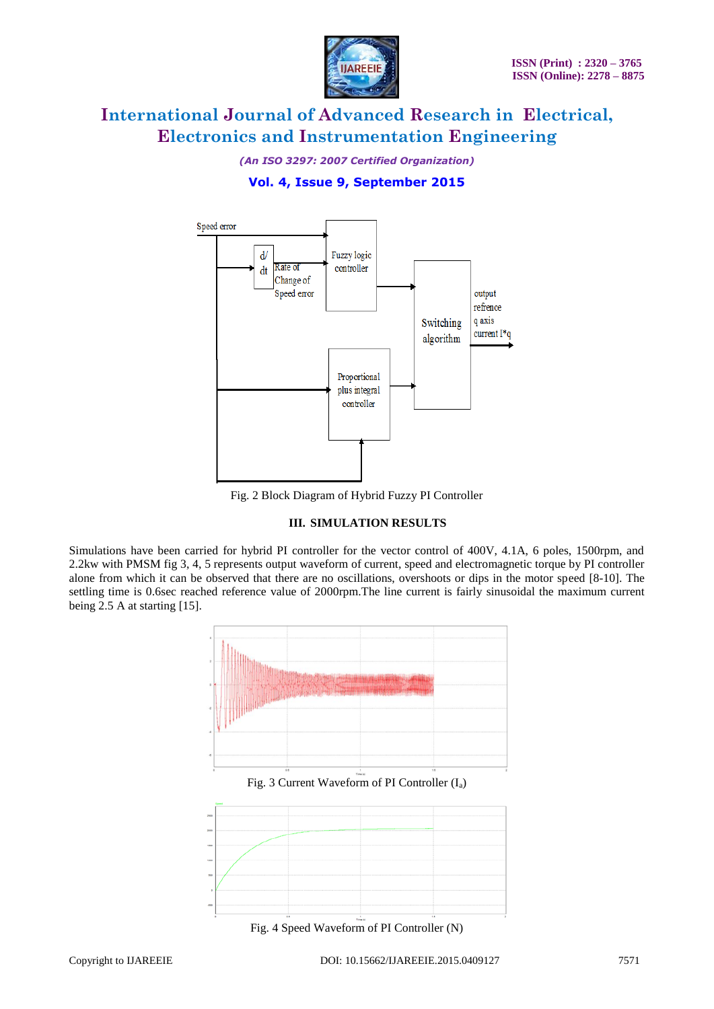

*(An ISO 3297: 2007 Certified Organization)*

### **Vol. 4, Issue 9, September 2015**



Fig. 2 Block Diagram of Hybrid Fuzzy PI Controller

### **III. SIMULATION RESULTS**

Simulations have been carried for hybrid PI controller for the vector control of 400V, 4.1A, 6 poles, 1500rpm, and 2.2kw with PMSM fig 3, 4, 5 represents output waveform of current, speed and electromagnetic torque by PI controller alone from which it can be observed that there are no oscillations, overshoots or dips in the motor speed [8-10]. The settling time is 0.6sec reached reference value of 2000rpm. The line current is fairly sinusoidal the maximum current being 2.5 A at starting [15].



Fig. 3 Current Waveform of PI Controller  $(I_a)$ 



Fig. 4 Speed Waveform of PI Controller (N)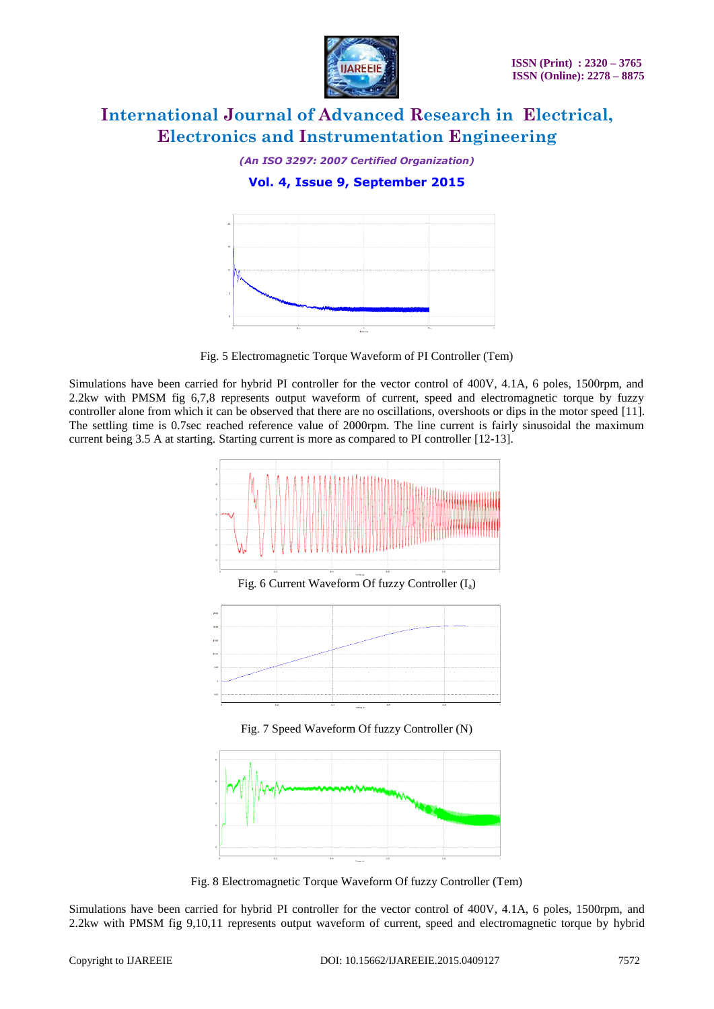

*(An ISO 3297: 2007 Certified Organization)*

### **Vol. 4, Issue 9, September 2015**



Fig. 5 Electromagnetic Torque Waveform of PI Controller (Tem)

Simulations have been carried for hybrid PI controller for the vector control of 400V, 4.1A, 6 poles, 1500rpm, and 2.2kw with PMSM fig 6,7,8 represents output waveform of current, speed and electromagnetic torque by fuzzy controller alone from which it can be observed that there are no oscillations, overshoots or dips in the motor speed [11]. The settling time is 0.7sec reached reference value of 2000rpm. The line current is fairly sinusoidal the maximum current being 3.5 A at starting. Starting current is more as compared to PI controller [12-13].





Fig. 7 Speed Waveform Of fuzzy Controller (N)



Fig. 8 Electromagnetic Torque Waveform Of fuzzy Controller (Tem)

Simulations have been carried for hybrid PI controller for the vector control of 400V, 4.1A, 6 poles, 1500rpm, and 2.2kw with PMSM fig 9,10,11 represents output waveform of current, speed and electromagnetic torque by hybrid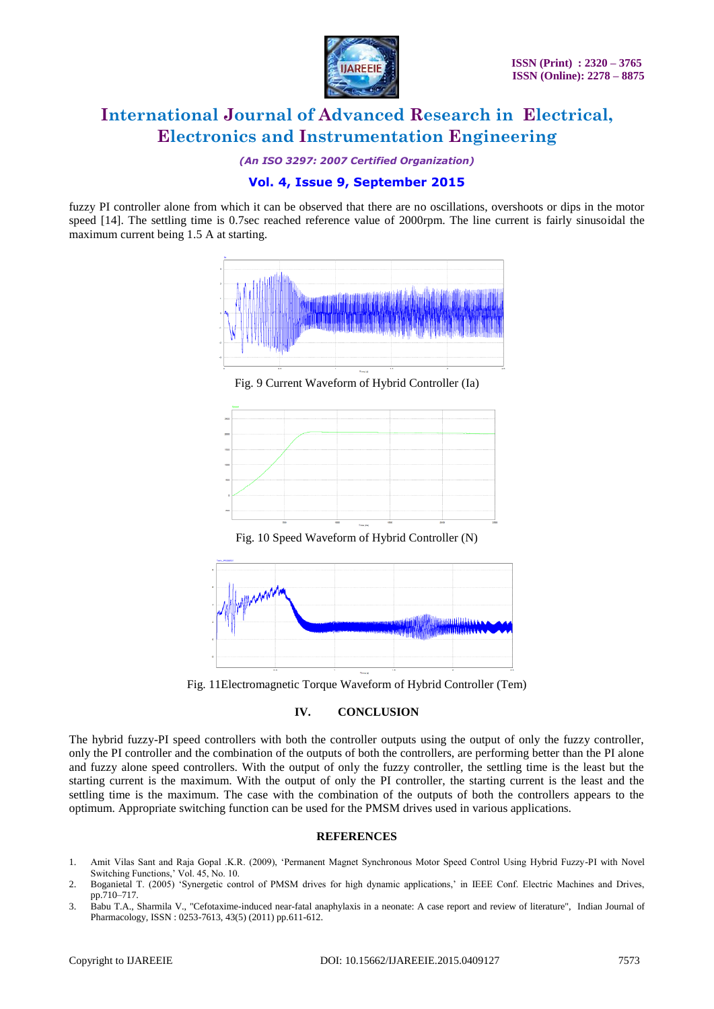

*(An ISO 3297: 2007 Certified Organization)*

### **Vol. 4, Issue 9, September 2015**

fuzzy PI controller alone from which it can be observed that there are no oscillations, overshoots or dips in the motor speed [14]. The settling time is 0.7sec reached reference value of 2000rpm. The line current is fairly sinusoidal the maximum current being 1.5 A at starting.



Fig. 9 Current Waveform of Hybrid Controller (Ia)



Fig. 10 Speed Waveform of Hybrid Controller (N)



Fig. 11Electromagnetic Torque Waveform of Hybrid Controller (Tem)

#### **IV. CONCLUSION**

The hybrid fuzzy-PI speed controllers with both the controller outputs using the output of only the fuzzy controller, only the PI controller and the combination of the outputs of both the controllers, are performing better than the PI alone and fuzzy alone speed controllers. With the output of only the fuzzy controller, the settling time is the least but the starting current is the maximum. With the output of only the PI controller, the starting current is the least and the settling time is the maximum. The case with the combination of the outputs of both the controllers appears to the optimum. Appropriate switching function can be used for the PMSM drives used in various applications.

#### **REFERENCES**

- 1. Amit Vilas Sant and Raja Gopal .K.R. (2009), 'Permanent Magnet Synchronous Motor Speed Control Using Hybrid Fuzzy-PI with Novel Switching Functions,' Vol. 45, No. 10.
- 2. Boganietal T. (2005) 'Synergetic control of PMSM drives for high dynamic applications,' in IEEE Conf. Electric Machines and Drives, pp.710–717.
- 3. Babu T.A., Sharmila V., "Cefotaxime-induced near-fatal anaphylaxis in a neonate: A case report and review of literature", Indian Journal of Pharmacology, ISSN : 0253-7613, 43(5) (2011) pp.611-612.